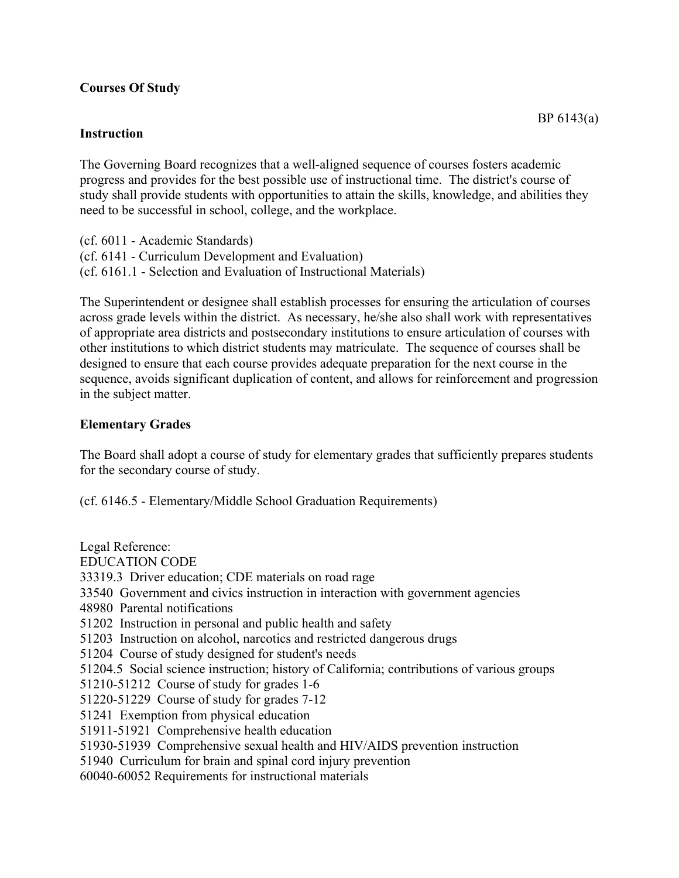## **Courses Of Study**

## **Instruction**

The Governing Board recognizes that a well-aligned sequence of courses fosters academic progress and provides for the best possible use of instructional time. The district's course of study shall provide students with opportunities to attain the skills, knowledge, and abilities they need to be successful in school, college, and the workplace.

(cf. 6011 - Academic Standards) (cf. 6141 - Curriculum Development and Evaluation) (cf. 6161.1 - Selection and Evaluation of Instructional Materials)

The Superintendent or designee shall establish processes for ensuring the articulation of courses across grade levels within the district. As necessary, he/she also shall work with representatives of appropriate area districts and postsecondary institutions to ensure articulation of courses with other institutions to which district students may matriculate. The sequence of courses shall be designed to ensure that each course provides adequate preparation for the next course in the sequence, avoids significant duplication of content, and allows for reinforcement and progression in the subject matter.

## **Elementary Grades**

The Board shall adopt a course of study for elementary grades that sufficiently prepares students for the secondary course of study.

(cf. 6146.5 - Elementary/Middle School Graduation Requirements)

Legal Reference: EDUCATION CODE 33319.3 Driver education; CDE materials on road rage 33540 Government and civics instruction in interaction with government agencies 48980 Parental notifications 51202 Instruction in personal and public health and safety 51203 Instruction on alcohol, narcotics and restricted dangerous drugs 51204 Course of study designed for student's needs 51204.5 Social science instruction; history of California; contributions of various groups 51210-51212 Course of study for grades 1-6 51220-51229 Course of study for grades 7-12 51241 Exemption from physical education 51911-51921 Comprehensive health education 51930-51939 Comprehensive sexual health and HIV/AIDS prevention instruction 51940 Curriculum for brain and spinal cord injury prevention 60040-60052 Requirements for instructional materials